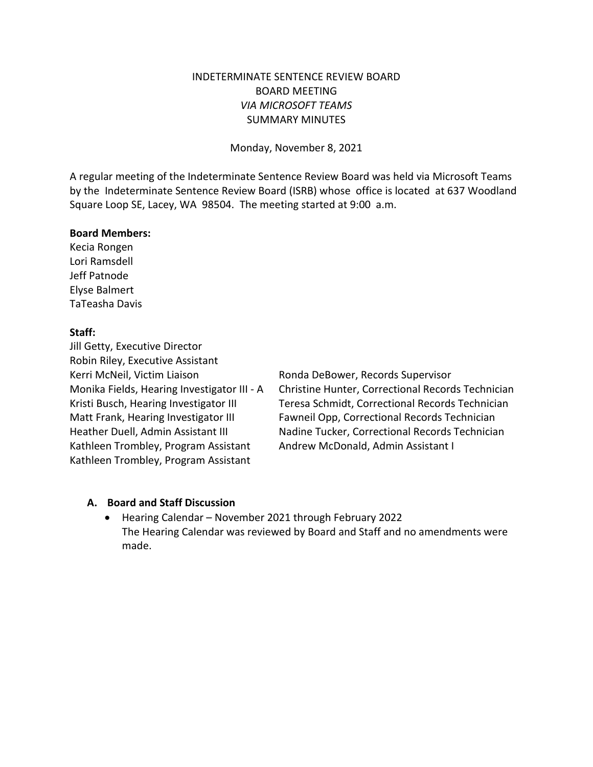### INDETERMINATE SENTENCE REVIEW BOARD BOARD MEETING *VIA MICROSOFT TEAMS* SUMMARY MINUTES

Monday, November 8, 2021

A regular meeting of the Indeterminate Sentence Review Board was held via Microsoft Teams by the Indeterminate Sentence Review Board (ISRB) whose office is located at 637 Woodland Square Loop SE, Lacey, WA 98504. The meeting started at 9:00 a.m.

#### **Board Members:**

Kecia Rongen Lori Ramsdell Jeff Patnode Elyse Balmert TaTeasha Davis

### **Staff:**

Jill Getty, Executive Director Robin Riley, Executive Assistant Kerri McNeil, Victim Liaison Ronda DeBower, Records Supervisor Kathleen Trombley, Program Assistant Andrew McDonald, Admin Assistant I Kathleen Trombley, Program Assistant

Monika Fields, Hearing Investigator III - A Christine Hunter, Correctional Records Technician Kristi Busch, Hearing Investigator III Teresa Schmidt, Correctional Records Technician Matt Frank, Hearing Investigator III Fawneil Opp, Correctional Records Technician Heather Duell, Admin Assistant III Nadine Tucker, Correctional Records Technician

### **A. Board and Staff Discussion**

• Hearing Calendar – November 2021 through February 2022 The Hearing Calendar was reviewed by Board and Staff and no amendments were made.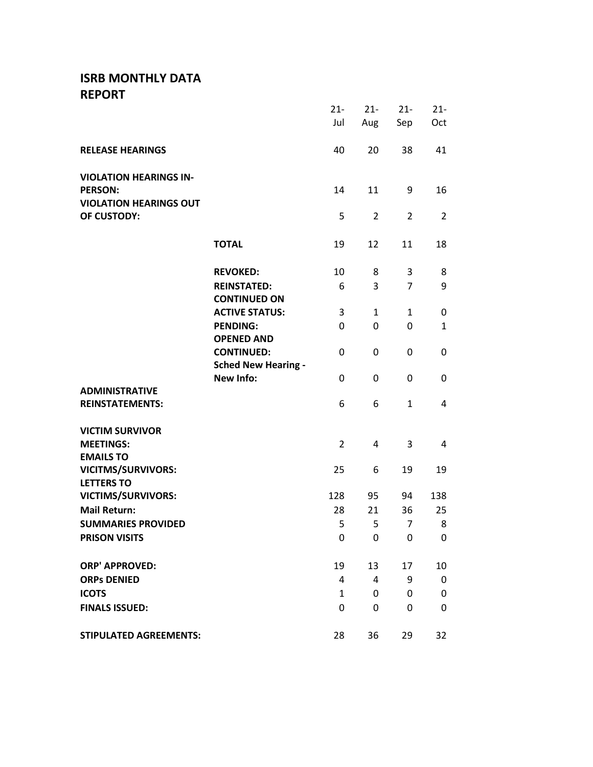# **ISRB MONTHLY DATA REPORT**

|                               |                            | $21 -$         | $21 -$         | $21 -$         | $21 -$         |
|-------------------------------|----------------------------|----------------|----------------|----------------|----------------|
|                               |                            | Jul            | Aug            | Sep            | Oct            |
|                               |                            |                |                |                |                |
| <b>RELEASE HEARINGS</b>       |                            | 40             | 20             | 38             | 41             |
|                               |                            |                |                |                |                |
| <b>VIOLATION HEARINGS IN-</b> |                            |                |                |                |                |
| <b>PERSON:</b>                |                            | 14             | 11             | 9              | 16             |
| <b>VIOLATION HEARINGS OUT</b> |                            |                |                |                |                |
| OF CUSTODY:                   |                            | 5              | $\overline{2}$ | $\overline{2}$ | $\overline{2}$ |
|                               |                            |                |                |                |                |
|                               | <b>TOTAL</b>               | 19             | 12             | 11             | 18             |
|                               |                            |                |                |                |                |
|                               | <b>REVOKED:</b>            | 10             | 8              | 3              | 8              |
|                               | <b>REINSTATED:</b>         | 6              | 3              | $\overline{7}$ | 9              |
|                               | <b>CONTINUED ON</b>        |                |                |                |                |
|                               | <b>ACTIVE STATUS:</b>      | 3              | $\mathbf{1}$   | $\mathbf{1}$   | 0              |
|                               | <b>PENDING:</b>            | 0              | 0              | 0              | $\mathbf{1}$   |
|                               | <b>OPENED AND</b>          |                |                |                |                |
|                               | <b>CONTINUED:</b>          | 0              | 0              | 0              | 0              |
|                               | <b>Sched New Hearing -</b> |                |                |                |                |
|                               | <b>New Info:</b>           | 0              | $\mathbf{0}$   | 0              | 0              |
| <b>ADMINISTRATIVE</b>         |                            |                |                |                |                |
| <b>REINSTATEMENTS:</b>        |                            | 6              | 6              | $\mathbf{1}$   | 4              |
| <b>VICTIM SURVIVOR</b>        |                            |                |                |                |                |
| <b>MEETINGS:</b>              |                            | $\overline{2}$ | 4              | 3              | 4              |
| <b>EMAILS TO</b>              |                            |                |                |                |                |
| <b>VICITMS/SURVIVORS:</b>     |                            | 25             | 6              | 19             | 19             |
| <b>LETTERS TO</b>             |                            |                |                |                |                |
| <b>VICTIMS/SURVIVORS:</b>     |                            | 128            | 95             | 94             | 138            |
| <b>Mail Return:</b>           |                            | 28             | 21             | 36             | 25             |
| <b>SUMMARIES PROVIDED</b>     |                            | 5              | 5              | $\overline{7}$ | 8              |
| <b>PRISON VISITS</b>          |                            | 0              | 0              | 0              | 0              |
|                               |                            |                |                |                |                |
| <b>ORP' APPROVED:</b>         |                            | 19             | 13             | 17             | 10             |
| <b>ORPS DENIED</b>            |                            | 4              | 4              | 9              | 0              |
| <b>ICOTS</b>                  |                            | 1              | 0              | 0              | 0              |
| <b>FINALS ISSUED:</b>         |                            | 0              | 0              | 0              | 0              |
|                               |                            |                |                |                |                |
| <b>STIPULATED AGREEMENTS:</b> |                            | 28             | 36             | 29             | 32             |
|                               |                            |                |                |                |                |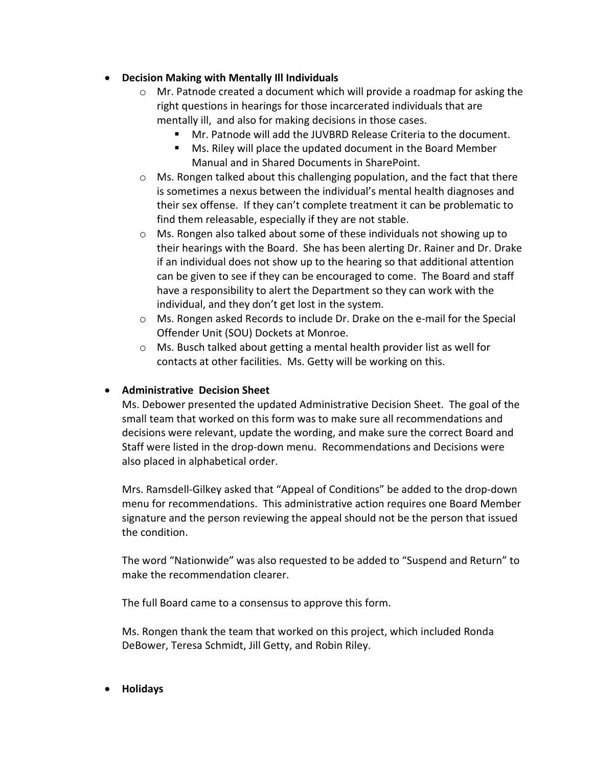## • **Decision Making with Mentally Ill Individuals**

- $\circ$  Mr. Patnode created a document which will provide a roadmap for asking the right questions in hearings for those incarcerated individuals that are mentally ill, and also for making decisions in those cases.
	- Mr. Patnode will add the JUVBRD Release Criteria to the document.
	- Ms. Riley will place the updated document in the Board Member Manual and in Shared Documents in SharePoint.
- $\circ$  Ms. Rongen talked about this challenging population, and the fact that there is sometimes a nexus between the individual's mental health diagnoses and their sex offense. If they can't complete treatment it can be problematic to find them releasable, especially if they are not stable.
- o Ms. Rongen also talked about some of these individuals not showing up to their hearings with the Board. She has been alerting Dr. Rainer and Dr. Drake if an individual does not show up to the hearing so that additional attention can be given to see if they can be encouraged to come. The Board and staff have a responsibility to alert the Department so they can work with the individual, and they don't get lost in the system.
- o Ms. Rongen asked Records to include Dr. Drake on the e-mail for the Special Offender Unit (SOU) Dockets at Monroe.
- o Ms. Busch talked about getting a mental health provider list as well for contacts at other facilities. Ms. Getty will be working on this.

## • **Administrative Decision Sheet**

Ms. Debower presented the updated Administrative Decision Sheet. The goal of the small team that worked on this form was to make sure all recommendations and decisions were relevant, update the wording, and make sure the correct Board and Staff were listed in the drop-down menu. Recommendations and Decisions were also placed in alphabetical order.

Mrs. Ramsdell-Gilkey asked that "Appeal of Conditions" be added to the drop-down menu for recommendations. This administrative action requires one Board Member signature and the person reviewing the appeal should not be the person that issued the condition.

The word "Nationwide" was also requested to be added to "Suspend and Return" to make the recommendation clearer.

The full Board came to a consensus to approve this form.

Ms. Rongen thank the team that worked on this project, which included Ronda DeBower, Teresa Schmidt, Jill Getty, and Robin Riley.

• **Holidays**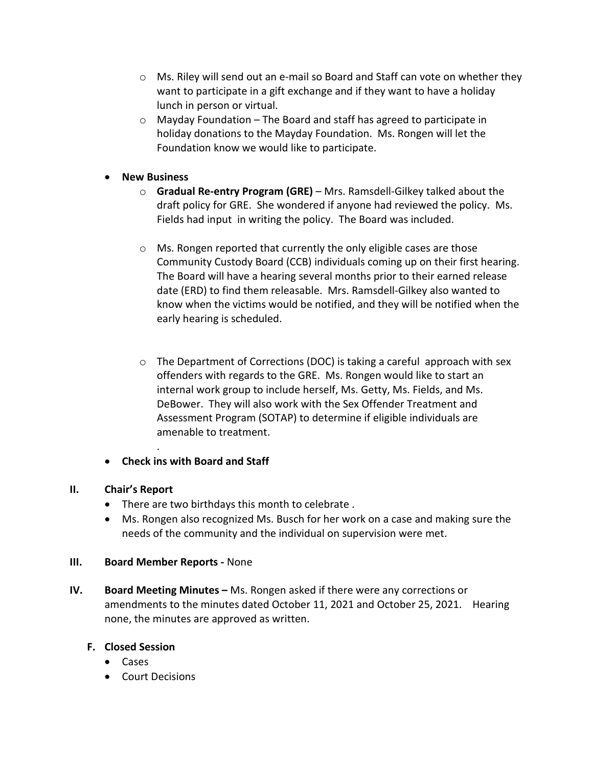- $\circ$  Ms. Riley will send out an e-mail so Board and Staff can vote on whether they want to participate in a gift exchange and if they want to have a holiday lunch in person or virtual.
- o Mayday Foundation The Board and staff has agreed to participate in holiday donations to the Mayday Foundation. Ms. Rongen will let the Foundation know we would like to participate.
- **New Business**
	- o **Gradual Re-entry Program (GRE)**  Mrs. Ramsdell-Gilkey talked about the draft policy for GRE. She wondered if anyone had reviewed the policy. Ms. Fields had input in writing the policy. The Board was included.
	- $\circ$  Ms. Rongen reported that currently the only eligible cases are those Community Custody Board (CCB) individuals coming up on their first hearing. The Board will have a hearing several months prior to their earned release date (ERD) to find them releasable. Mrs. Ramsdell-Gilkey also wanted to know when the victims would be notified, and they will be notified when the early hearing is scheduled.
	- o The Department of Corrections (DOC) is taking a careful approach with sex offenders with regards to the GRE. Ms. Rongen would like to start an internal work group to include herself, Ms. Getty, Ms. Fields, and Ms. DeBower. They will also work with the Sex Offender Treatment and Assessment Program (SOTAP) to determine if eligible individuals are amenable to treatment.
- **Check ins with Board and Staff**

### **II. Chair's Report**

- There are two birthdays this month to celebrate .
- Ms. Rongen also recognized Ms. Busch for her work on a case and making sure the needs of the community and the individual on supervision were met.

### **III. Board Member Reports -** None

.

**IV. Board Meeting Minutes –** Ms. Rongen asked if there were any corrections or amendments to the minutes dated October 11, 2021 and October 25, 2021. Hearing none, the minutes are approved as written.

### **F. Closed Session**

- Cases
- Court Decisions